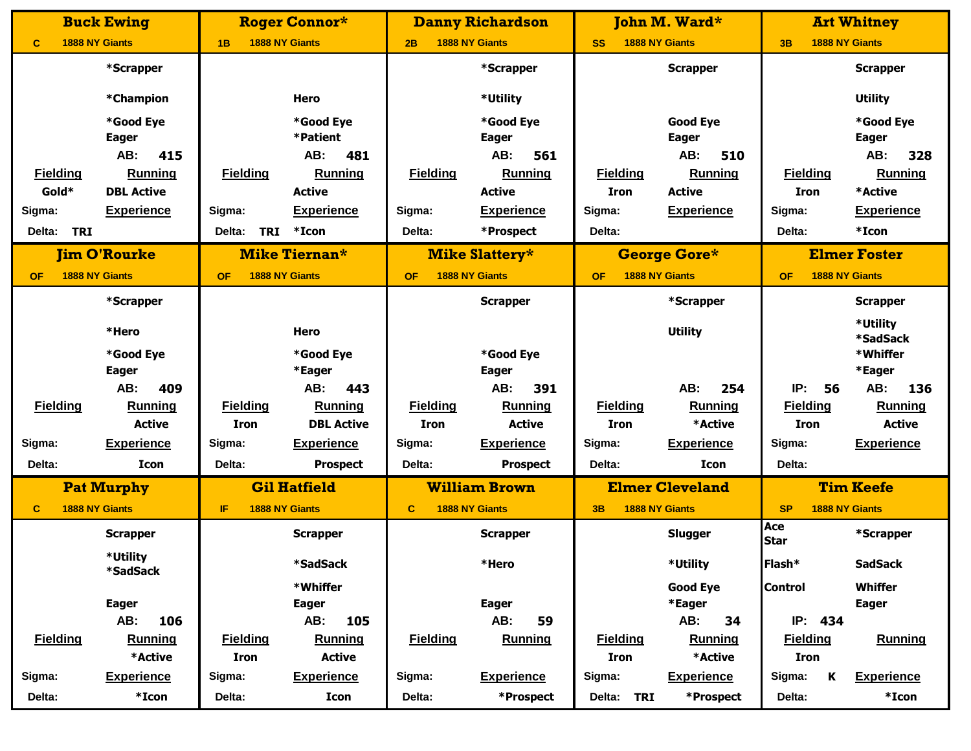|                      | <b>Buck Ewing</b>     |                      | <b>Roger Connor*</b>  |                 | <b>Danny Richardson</b> |                             | John M. Ward*          |                                    | <b>Art Whitney</b>          |
|----------------------|-----------------------|----------------------|-----------------------|-----------------|-------------------------|-----------------------------|------------------------|------------------------------------|-----------------------------|
| C                    | <b>1888 NY Giants</b> | 1B                   | <b>1888 NY Giants</b> | 2B              | <b>1888 NY Giants</b>   | 1888 NY Giants<br><b>SS</b> |                        | <b>1888 NY Giants</b><br>3B        |                             |
|                      | *Scrapper             |                      |                       |                 | *Scrapper               |                             | <b>Scrapper</b>        |                                    | <b>Scrapper</b>             |
|                      | *Champion             |                      | Hero                  |                 | *Utility                |                             |                        |                                    | <b>Utility</b>              |
|                      | *Good Eye             |                      | *Good Eye             |                 | *Good Eye               |                             | <b>Good Eye</b>        |                                    | *Good Eye                   |
|                      | <b>Eager</b>          |                      | *Patient              |                 | <b>Eager</b>            |                             | <b>Eager</b>           |                                    | <b>Eager</b>                |
|                      | 415<br>AB:            |                      | 481<br>AB:            |                 | AB:<br>561              |                             | AB:<br>510             |                                    | AB:<br>328                  |
| <b>Fielding</b>      | Running               | <b>Fielding</b>      | Running               | <b>Fielding</b> | Running                 | <b>Fielding</b>             | Running                | <b>Fielding</b>                    | Running                     |
| Gold*                | <b>DBL Active</b>     |                      | <b>Active</b>         |                 | <b>Active</b>           | <b>Iron</b>                 | <b>Active</b>          | <b>Iron</b>                        | *Active                     |
| Sigma:               | <b>Experience</b>     | Sigma:               | <b>Experience</b>     | Sigma:          | <b>Experience</b>       | Sigma:                      | <b>Experience</b>      | Sigma:                             | <b>Experience</b>           |
| <b>TRI</b><br>Delta: |                       | Delta:<br><b>TRI</b> | $*$ Icon              | Delta:          | *Prospect               | Delta:                      |                        | Delta:                             | *Icon                       |
|                      | <b>Jim O'Rourke</b>   |                      | Mike Tiernan*         |                 | <b>Mike Slattery*</b>   |                             | <b>George Gore*</b>    |                                    | <b>Elmer Foster</b>         |
| <b>OF</b>            | 1888 NY Giants        | <b>OF</b>            | <b>1888 NY Giants</b> | <b>OF</b>       | <b>1888 NY Giants</b>   | <b>1888 NY Giants</b><br>OF |                        | <b>1888 NY Giants</b><br><b>OF</b> |                             |
|                      | *Scrapper             |                      |                       |                 | <b>Scrapper</b>         |                             | *Scrapper              |                                    | <b>Scrapper</b>             |
|                      | *Hero                 |                      | Hero                  |                 |                         |                             | <b>Utility</b>         |                                    | *Utility<br><b>*SadSack</b> |
|                      | *Good Eye             |                      | *Good Eye             |                 | *Good Eye               |                             |                        |                                    | *Whiffer                    |
|                      | <b>Eager</b>          |                      | *Eager                |                 | <b>Eager</b>            |                             |                        |                                    | *Eager                      |
|                      | AB:<br>409            |                      | AB:<br>443            |                 | AB:<br>391              |                             | AB:<br>254             | IP:<br>56                          | AB:<br>136                  |
| <b>Fielding</b>      | <b>Running</b>        | <b>Fielding</b>      | <b>Running</b>        | <b>Fielding</b> | <b>Running</b>          | <b>Fielding</b>             | <b>Running</b>         | <b>Fielding</b>                    | Running                     |
|                      | <b>Active</b>         | <b>Iron</b>          | <b>DBL Active</b>     | <b>Iron</b>     | <b>Active</b>           | <b>Iron</b>                 | *Active                | <b>Iron</b>                        | <b>Active</b>               |
| Sigma:               | <b>Experience</b>     | Sigma:               | <b>Experience</b>     | Sigma:          | <b>Experience</b>       | Sigma:                      | <b>Experience</b>      | Sigma:                             | <b>Experience</b>           |
| Delta:               | <b>Icon</b>           | Delta:               | <b>Prospect</b>       | Delta:          | <b>Prospect</b>         | Delta:                      | <b>Icon</b>            | Delta:                             |                             |
|                      | <b>Pat Murphy</b>     |                      | <b>Gil Hatfield</b>   |                 | <b>William Brown</b>    |                             | <b>Elmer Cleveland</b> |                                    | <b>Tim Keefe</b>            |
| $\mathbf{C}$         | <b>1888 NY Giants</b> | IF                   | <b>1888 NY Giants</b> | $\mathbf{C}$    | <b>1888 NY Giants</b>   | <b>1888 NY Giants</b><br>3B |                        | <b>1888 NY Giants</b><br><b>SP</b> |                             |
|                      | <b>Scrapper</b>       |                      | <b>Scrapper</b>       |                 | <b>Scrapper</b>         |                             | Slugger                | Ace<br><b>Star</b>                 | *Scrapper                   |
|                      | *Utility<br>*SadSack  |                      | *SadSack              |                 | *Hero                   |                             | *Utility               | Flash*                             | <b>SadSack</b>              |
|                      |                       |                      | *Whiffer              |                 |                         |                             | <b>Good Eye</b>        | <b>Control</b>                     | Whiffer                     |
|                      | <b>Eager</b>          |                      | <b>Eager</b>          |                 | <b>Eager</b>            |                             | *Eager                 |                                    | <b>Eager</b>                |
|                      | 106<br>AB:            |                      | AB:<br>105            |                 | AB:<br>59               |                             | AB:<br>34              | IP: 434                            |                             |
| <b>Fielding</b>      | <b>Running</b>        | <b>Fielding</b>      | <b>Running</b>        | <b>Fielding</b> | <b>Running</b>          | <b>Fielding</b>             | <b>Running</b>         | <b>Fielding</b>                    | Running                     |
|                      | *Active               | <b>Iron</b>          | <b>Active</b>         |                 |                         | <b>Iron</b>                 | *Active                | <b>Iron</b>                        |                             |
| Sigma:               | <b>Experience</b>     | Sigma:               | <b>Experience</b>     | Sigma:          | <b>Experience</b>       | Sigma:                      | <b>Experience</b>      | Sigma:<br>K                        | <b>Experience</b>           |
| Delta:               | *Icon                 | Delta:               | Icon                  | Delta:          | *Prospect               | Delta: TRI                  | *Prospect              | Delta:                             | $*$ Icon                    |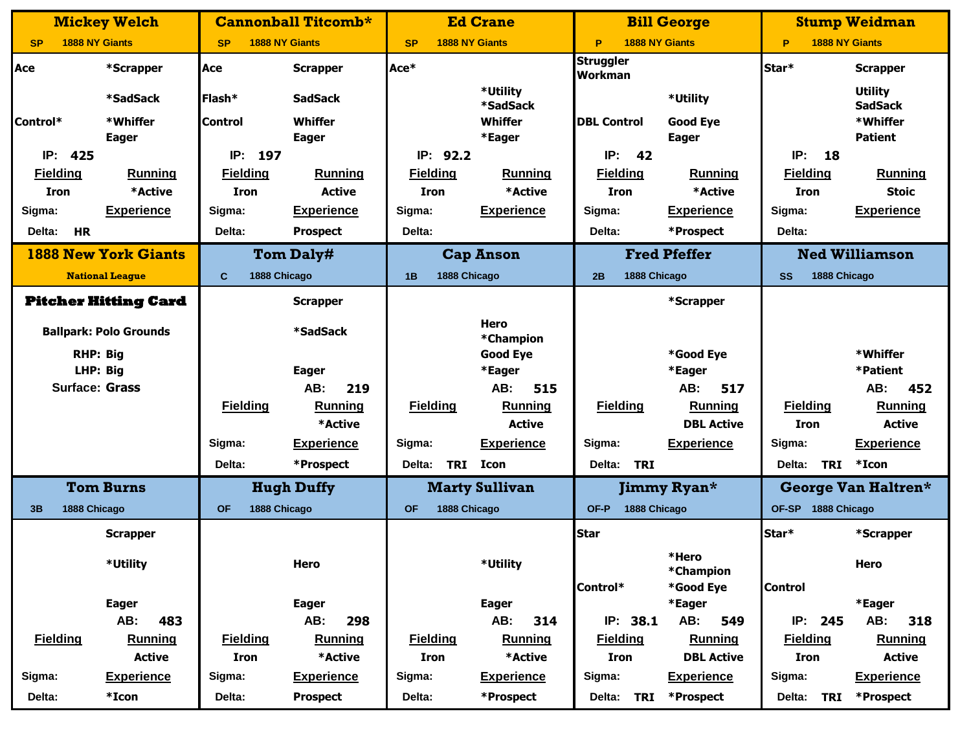|                     | <b>Mickey Welch</b>           |                           | <b>Cannonball Titcomb*</b> |                           | <b>Ed Crane</b>              |                             | <b>Bill George</b>    |                            | <b>Stump Weidman</b>             |
|---------------------|-------------------------------|---------------------------|----------------------------|---------------------------|------------------------------|-----------------------------|-----------------------|----------------------------|----------------------------------|
| <b>SP</b>           | <b>1888 NY Giants</b>         | <b>SP</b>                 | <b>1888 NY Giants</b>      | <b>SP</b>                 | <b>1888 NY Giants</b>        | P                           | <b>1888 NY Giants</b> | <b>1888 NY Giants</b><br>P |                                  |
| Ace                 | *Scrapper                     | Ace                       | <b>Scrapper</b>            | Ace*                      |                              | <b>Struggler</b><br>Workman |                       | Star*                      | <b>Scrapper</b>                  |
|                     | *SadSack                      | Flash*                    | <b>SadSack</b>             |                           | *Utility<br>*SadSack         |                             | *Utility              |                            | <b>Utility</b><br><b>SadSack</b> |
| Control*            | *Whiffer                      | <b>Control</b>            | Whiffer                    |                           | Whiffer                      | <b>DBL Control</b>          | <b>Good Eye</b>       |                            | *Whiffer                         |
|                     | <b>Eager</b>                  |                           | <b>Eager</b>               |                           | *Eager                       |                             | <b>Eager</b>          |                            | <b>Patient</b>                   |
| IP:<br>425          |                               | IP:<br>197                |                            | IP: 92.2                  |                              | IP:<br>42                   |                       | IP:<br>18                  |                                  |
| <b>Fielding</b>     | <b>Running</b>                | <b>Fielding</b>           | <b>Running</b>             | <b>Fielding</b>           | <b>Running</b>               | <b>Fielding</b>             | Running               | <b>Fielding</b>            | <b>Running</b>                   |
| <b>Iron</b>         | *Active                       | <b>Iron</b>               | <b>Active</b>              | <b>Iron</b>               | *Active                      | <b>Iron</b>                 | *Active               | <b>Iron</b>                | <b>Stoic</b>                     |
| Sigma:              | <b>Experience</b>             | Sigma:                    | <b>Experience</b>          | Sigma:                    | <b>Experience</b>            | Sigma:                      | <b>Experience</b>     | Sigma:                     | <b>Experience</b>                |
| <b>HR</b><br>Delta: |                               | Delta:                    | <b>Prospect</b>            | Delta:                    |                              | Delta:                      | *Prospect             | Delta:                     |                                  |
|                     | <b>1888 New York Giants</b>   |                           | <b>Tom Daly#</b>           |                           | <b>Cap Anson</b>             |                             | <b>Fred Pfeffer</b>   |                            | <b>Ned Williamson</b>            |
|                     | <b>National League</b>        | 1888 Chicago<br>C         |                            | 1888 Chicago<br>1B        |                              | 1888 Chicago<br>2B          |                       | 1888 Chicago<br>SS         |                                  |
|                     | <b>Pitcher Hitting Card</b>   |                           | <b>Scrapper</b>            |                           |                              |                             | *Scrapper             |                            |                                  |
|                     | <b>Ballpark: Polo Grounds</b> |                           | *SadSack                   |                           | <b>Hero</b>                  |                             |                       |                            |                                  |
|                     | <b>RHP: Big</b>               |                           |                            |                           | *Champion<br><b>Good Eye</b> |                             | *Good Eye             |                            | *Whiffer                         |
|                     | LHP: Big                      |                           | <b>Eager</b>               |                           | *Eager                       |                             | *Eager                |                            | *Patient                         |
|                     | <b>Surface: Grass</b>         |                           | AB:<br>219                 |                           | AB:<br>515                   |                             | AB:<br>517            |                            | AB:<br>452                       |
|                     |                               | <b>Fielding</b>           | <b>Running</b>             | <b>Fielding</b>           | Running                      | <b>Fielding</b>             | <b>Running</b>        | <b>Fielding</b>            | <b>Running</b>                   |
|                     |                               |                           | *Active                    |                           | <b>Active</b>                |                             | <b>DBL Active</b>     | <b>Iron</b>                | <b>Active</b>                    |
|                     |                               | Sigma:                    | <b>Experience</b>          | Sigma:                    | <b>Experience</b>            | Sigma:                      | <b>Experience</b>     | Sigma:                     | <b>Experience</b>                |
|                     |                               | Delta:                    | *Prospect                  | <b>TRI</b><br>Delta:      | Icon                         | Delta:<br>TRI               |                       | <b>TRI</b><br>Delta:       | *Icon                            |
|                     | <b>Tom Burns</b>              |                           | <b>Hugh Duffy</b>          |                           | <b>Marty Sullivan</b>        |                             | Jimmy Ryan*           |                            | George Van Haltren*              |
| 1888 Chicago<br>3B  |                               | 1888 Chicago<br><b>OF</b> |                            | 1888 Chicago<br><b>OF</b> |                              | 1888 Chicago<br>OF-P        |                       | OF-SP 1888 Chicago         |                                  |
|                     | <b>Scrapper</b>               |                           |                            |                           |                              | <b>Star</b>                 |                       | Star*                      | *Scrapper                        |
|                     | *Utility                      |                           | Hero                       |                           | *Utility                     |                             | *Hero<br>*Champion    |                            | Hero                             |
|                     |                               |                           |                            |                           |                              | Control*                    | *Good Eye             | <b>Control</b>             |                                  |
|                     | <b>Eager</b>                  |                           | <b>Eager</b>               |                           | <b>Eager</b>                 |                             | *Eager                |                            | *Eager                           |
|                     | AB:<br>483                    |                           | AB:<br>298                 |                           | AB:<br>314                   | IP: 38.1                    | AB:<br>549            | IP: 245                    | AB:<br>318                       |
| <b>Fielding</b>     | Running                       | <b>Fielding</b>           | <b>Running</b>             | <b>Fielding</b>           | <b>Running</b>               | <b>Fielding</b>             | <b>Running</b>        | <b>Fielding</b>            | Running                          |
|                     | <b>Active</b>                 | Iron                      | *Active                    | Iron                      | *Active                      | Iron                        | <b>DBL Active</b>     | Iron                       | <b>Active</b>                    |
| Sigma:              | <b>Experience</b>             | Sigma:                    | <b>Experience</b>          | Sigma:                    | <b>Experience</b>            | Sigma:                      | <b>Experience</b>     | Sigma:                     | <b>Experience</b>                |
| Delta:              | $*$ Icon                      | Delta:                    | <b>Prospect</b>            | Delta:                    | *Prospect                    | Delta: TRI                  | *Prospect             | <b>TRI</b><br>Delta:       | *Prospect                        |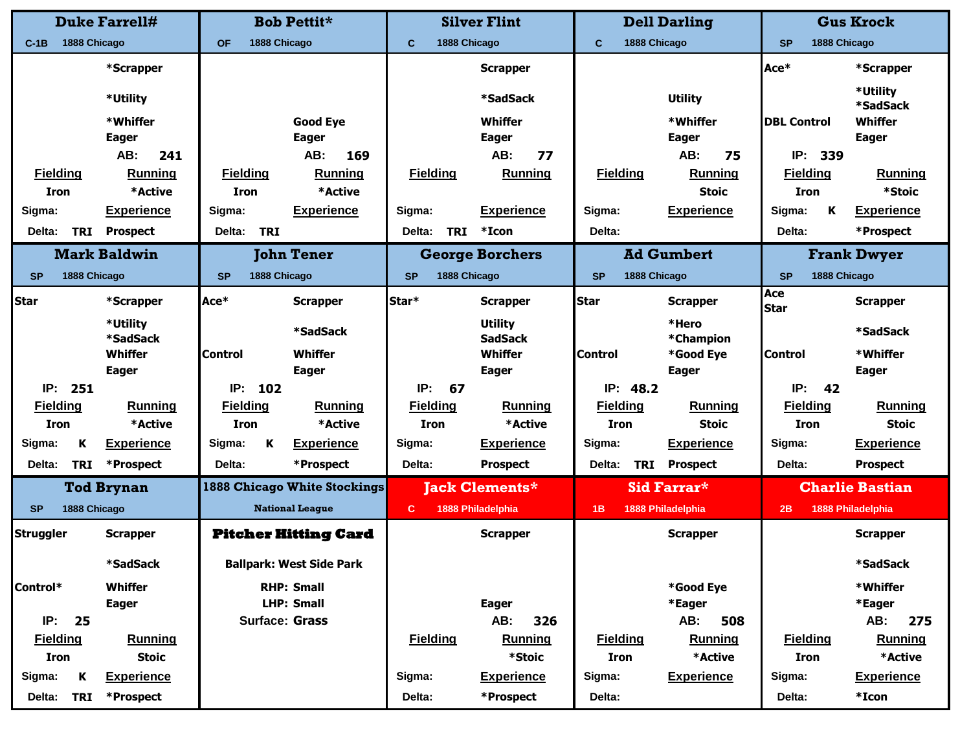|                           | <b>Duke Farrell#</b>        |                      | <b>Bob Pettit*</b>                  | <b>Silver Flint</b>  |                                  |                 | <b>Dell Darling</b>           | <b>Gus Krock</b>          |                        |
|---------------------------|-----------------------------|----------------------|-------------------------------------|----------------------|----------------------------------|-----------------|-------------------------------|---------------------------|------------------------|
| 1888 Chicago<br>$C-1B$    |                             | <b>OF</b>            | 1888 Chicago                        | C                    | 1888 Chicago                     | $\mathbf{C}$    | 1888 Chicago                  | 1888 Chicago<br><b>SP</b> |                        |
|                           | *Scrapper                   |                      |                                     |                      | <b>Scrapper</b>                  |                 |                               | Ace*                      | *Scrapper              |
|                           | *Utility                    |                      |                                     |                      | *SadSack                         |                 | <b>Utility</b>                |                           | *Utility               |
|                           |                             |                      |                                     |                      |                                  |                 |                               |                           | <b>*SadSack</b>        |
|                           | *Whiffer                    |                      | <b>Good Eye</b>                     |                      | <b>Whiffer</b>                   |                 | *Whiffer                      | <b>DBL Control</b>        | Whiffer                |
|                           | <b>Eager</b>                |                      | <b>Eager</b>                        |                      | <b>Eager</b>                     |                 | <b>Eager</b>                  |                           | <b>Eager</b>           |
|                           | AB:<br>241                  |                      | AB:<br>169                          |                      | 77<br>AB:                        |                 | AB:<br>75                     | IP:<br>339                |                        |
| <b>Fielding</b>           | <b>Running</b>              | <b>Fielding</b>      | Running                             | <b>Fielding</b>      | Running                          | <b>Fielding</b> | Running                       | <b>Fielding</b>           | Running                |
| <b>Iron</b>               | *Active                     | <b>Iron</b>          | *Active                             |                      |                                  |                 | <b>Stoic</b>                  | <b>Iron</b>               | *Stoic                 |
| Sigma:                    | <b>Experience</b>           | Sigma:               | <b>Experience</b>                   | Sigma:               | <b>Experience</b>                | Sigma:          | <b>Experience</b>             | Sigma:<br>Κ               | <b>Experience</b>      |
| <b>TRI</b><br>Delta:      | <b>Prospect</b>             | <b>TRI</b><br>Delta: |                                     | <b>TRI</b><br>Delta: | *Icon                            | Delta:          |                               | Delta:                    | *Prospect              |
|                           | <b>Mark Baldwin</b>         |                      | <b>John Tener</b>                   |                      | <b>George Borchers</b>           |                 | <b>Ad Gumbert</b>             |                           | <b>Frank Dwyer</b>     |
| <b>SP</b><br>1888 Chicago |                             | <b>SP</b>            | 1888 Chicago                        | <b>SP</b>            | 1888 Chicago                     | <b>SP</b>       | 1888 Chicago                  | 1888 Chicago<br><b>SP</b> |                        |
| Star                      | *Scrapper                   | Ace*                 | <b>Scrapper</b>                     | Star*                | <b>Scrapper</b>                  | <b>Star</b>     | <b>Scrapper</b>               | Ace<br><b>Star</b>        | <b>Scrapper</b>        |
|                           | *Utility<br><b>*SadSack</b> |                      | *SadSack                            |                      | <b>Utility</b><br><b>SadSack</b> |                 | *Hero<br>*Champion            |                           | *SadSack               |
|                           | Whiffer                     | <b>Control</b>       | Whiffer                             |                      | <b>Whiffer</b>                   | <b>Control</b>  | *Good Eye                     | <b>Control</b>            | *Whiffer               |
|                           | <b>Eager</b>                |                      | <b>Eager</b>                        |                      | <b>Eager</b>                     |                 | <b>Eager</b>                  |                           | <b>Eager</b>           |
| IP:<br>251                |                             | IP:<br>102           |                                     | IP:<br>67            |                                  | IP:             | 48.2                          | IP:<br>42                 |                        |
| <b>Fielding</b>           | <b>Running</b>              | <b>Fielding</b>      | <b>Running</b>                      | <b>Fielding</b>      | <b>Running</b>                   | <b>Fielding</b> | Running                       | <b>Fielding</b>           | <b>Running</b>         |
| <b>Iron</b>               | *Active                     | <b>Iron</b>          | *Active                             | <b>Iron</b>          | *Active                          | <b>Iron</b>     | <b>Stoic</b>                  | <b>Iron</b>               | <b>Stoic</b>           |
| Sigma:<br>К               | <b>Experience</b>           | Sigma:<br>К          | <b>Experience</b>                   | Sigma:               | <b>Experience</b>                | Sigma:          | <b>Experience</b>             | Sigma:                    | <b>Experience</b>      |
| Delta:<br><b>TRI</b>      | *Prospect                   | Delta:               | *Prospect                           | Delta:               | <b>Prospect</b>                  | Delta:          | <b>Prospect</b><br><b>TRI</b> | Delta:                    | <b>Prospect</b>        |
|                           | <b>Tod Brynan</b>           |                      | <b>1888 Chicago White Stockings</b> |                      | <b>Jack Clements*</b>            |                 | Sid Farrar*                   |                           | <b>Charlie Bastian</b> |
| 1888 Chicago<br><b>SP</b> |                             |                      | <b>National League</b>              | $\mathbf{C}$         | 1888 Philadelphia                | 1B              | <b>1888 Philadelphia</b>      | 2B                        | 1888 Philadelphia      |
| Struggler                 | <b>Scrapper</b>             |                      | <b>Pitcher Hitting Card</b>         |                      | <b>Scrapper</b>                  |                 | <b>Scrapper</b>               |                           | <b>Scrapper</b>        |
|                           | *SadSack                    |                      | <b>Ballpark: West Side Park</b>     |                      |                                  |                 |                               |                           | <b>*SadSack</b>        |
| Control*                  | Whiffer                     |                      | <b>RHP: Small</b>                   |                      |                                  |                 | *Good Eye                     |                           | *Whiffer               |
|                           | <b>Eager</b>                |                      | <b>LHP: Small</b>                   |                      | <b>Eager</b>                     |                 | *Eager                        |                           | *Eager                 |
| IP:<br>25                 |                             |                      | <b>Surface: Grass</b>               |                      | AB:<br>326                       |                 | AB:<br>508                    |                           | AB:<br>275             |
| <b>Fielding</b>           | <b>Running</b>              |                      |                                     | <b>Fielding</b>      | <b>Running</b>                   | <b>Fielding</b> | <b>Running</b>                | <b>Fielding</b>           | <b>Running</b>         |
| <b>Iron</b>               | <b>Stoic</b>                |                      |                                     |                      | *Stoic                           | <b>Iron</b>     | *Active                       | <b>Iron</b>               | *Active                |
| K<br>Sigma:               | <b>Experience</b>           |                      |                                     | Sigma:               | <b>Experience</b>                | Sigma:          | <b>Experience</b>             | Sigma:                    | <b>Experience</b>      |
| <b>TRI</b><br>Delta:      | *Prospect                   |                      |                                     | Delta:               | *Prospect                        | Delta:          |                               | Delta:                    | *Icon                  |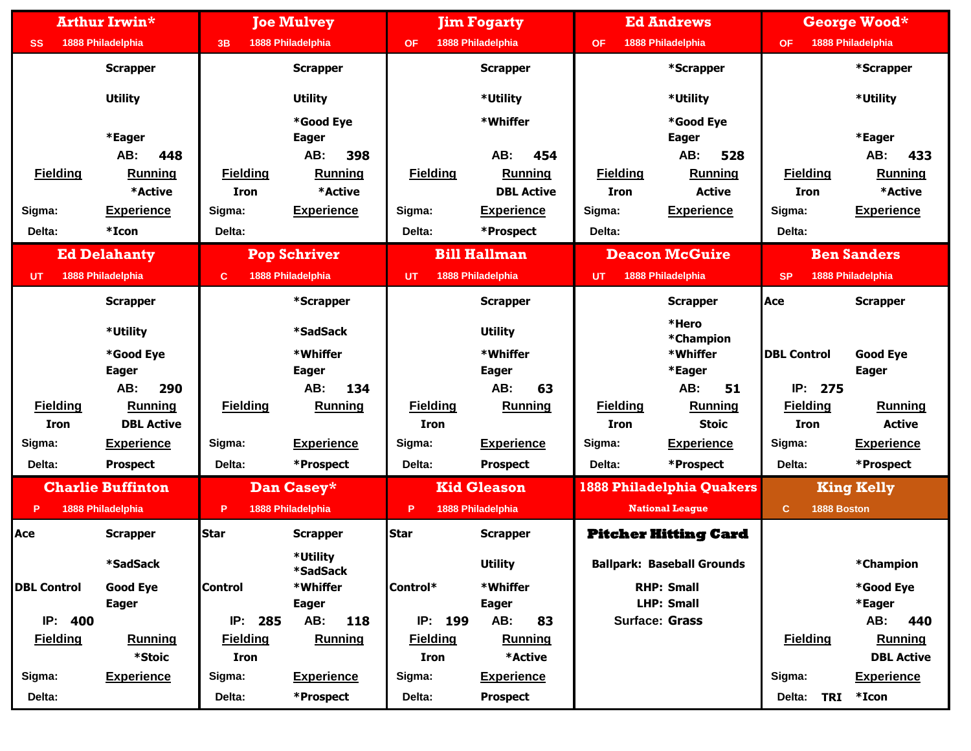|                    | <b>Arthur Irwin*</b>     |                                | <b>Joe Mulvey</b>         |                                | <b>Jim Fogarty</b>           |                                | <b>Ed Andrews</b>                 |                                | George Wood*                        |
|--------------------|--------------------------|--------------------------------|---------------------------|--------------------------------|------------------------------|--------------------------------|-----------------------------------|--------------------------------|-------------------------------------|
| <b>SS</b>          | 1888 Philadelphia        | 3B                             | 1888 Philadelphia         | <b>OF</b>                      | 1888 Philadelphia            | <b>OF</b>                      | 1888 Philadelphia                 | <b>OF</b>                      | 1888 Philadelphia                   |
|                    | <b>Scrapper</b>          |                                | <b>Scrapper</b>           |                                | <b>Scrapper</b>              |                                | *Scrapper                         |                                | *Scrapper                           |
|                    | <b>Utility</b>           |                                | <b>Utility</b>            |                                | *Utility                     |                                | *Utility                          |                                | *Utility                            |
|                    |                          |                                | *Good Eye                 |                                | *Whiffer                     |                                | *Good Eye                         |                                |                                     |
|                    | *Eager                   |                                | <b>Eager</b>              |                                |                              |                                | <b>Eager</b>                      |                                | *Eager                              |
|                    | AB:<br>448               |                                | 398<br>AB:                |                                | 454<br>AB:                   |                                | AB:<br>528                        |                                | AB:<br>433                          |
| <b>Fielding</b>    | Running<br>*Active       | <b>Fielding</b><br><b>Iron</b> | <b>Running</b><br>*Active | <b>Fielding</b>                | Running<br><b>DBL Active</b> | <b>Fielding</b><br><b>Iron</b> | Running<br><b>Active</b>          | <b>Fielding</b><br><b>Iron</b> | Running<br>*Active                  |
|                    |                          |                                |                           |                                |                              |                                |                                   |                                |                                     |
| Sigma:             | <b>Experience</b>        | Sigma:                         | <b>Experience</b>         | Sigma:                         | <b>Experience</b>            | Sigma:                         | <b>Experience</b>                 | Sigma:                         | <b>Experience</b>                   |
| Delta:             | *Icon                    | Delta:                         |                           | Delta:                         | *Prospect                    | Delta:                         |                                   | Delta:                         |                                     |
|                    | <b>Ed Delahanty</b>      |                                | <b>Pop Schriver</b>       |                                | <b>Bill Hallman</b>          |                                | <b>Deacon McGuire</b>             |                                | <b>Ben Sanders</b>                  |
| <b>UT</b>          | 1888 Philadelphia        | c                              | 1888 Philadelphia         | UT                             | 1888 Philadelphia            | UT                             | 1888 Philadelphia                 | <b>SP</b>                      | 1888 Philadelphia                   |
|                    | <b>Scrapper</b>          |                                | *Scrapper                 |                                | <b>Scrapper</b>              |                                | <b>Scrapper</b>                   | Ace                            | <b>Scrapper</b>                     |
|                    | *Utility                 |                                | *SadSack                  |                                | <b>Utility</b>               |                                | *Hero<br>*Champion                |                                |                                     |
|                    | *Good Eye                |                                | *Whiffer                  |                                | *Whiffer                     |                                | *Whiffer                          | <b>DBL Control</b>             | <b>Good Eye</b>                     |
|                    | <b>Eager</b>             |                                | <b>Eager</b>              |                                | <b>Eager</b>                 |                                | *Eager                            |                                | <b>Eager</b>                        |
|                    | AB:<br>290               |                                | AB:<br>134                |                                | AB:<br>63                    |                                | AB:<br>51                         | IP:<br>275                     |                                     |
| <b>Fielding</b>    | <b>Running</b>           | <b>Fielding</b>                | <b>Running</b>            | <b>Fielding</b>                | <b>Running</b>               | <b>Fielding</b>                | <b>Running</b>                    | <b>Fielding</b>                | <b>Running</b>                      |
| <b>Iron</b>        | <b>DBL Active</b>        |                                |                           | <b>Iron</b>                    |                              | <b>Iron</b>                    | <b>Stoic</b>                      | <b>Iron</b>                    | <b>Active</b>                       |
| Sigma:             | <b>Experience</b>        | Sigma:                         | <b>Experience</b>         | Sigma:                         | <b>Experience</b>            | Sigma:                         | <b>Experience</b>                 | Sigma:                         | <b>Experience</b>                   |
| Delta:             | <b>Prospect</b>          | Delta:                         | *Prospect                 | Delta:                         | <b>Prospect</b>              | Delta:                         | *Prospect                         | Delta:                         | *Prospect                           |
|                    | <b>Charlie Buffinton</b> |                                | Dan Casey*                |                                | <b>Kid Gleason</b>           |                                | <b>1888 Philadelphia Quakers</b>  |                                | <b>King Kelly</b>                   |
| P                  | 1888 Philadelphia        | P                              | 1888 Philadelphia         | P                              | 1888 Philadelphia            |                                | <b>National League</b>            | 1888 Boston<br>$\mathbf{C}$    |                                     |
| Асе                | <b>Scrapper</b>          | <b>Star</b>                    | <b>Scrapper</b>           | <b>Star</b>                    | <b>Scrapper</b>              |                                | <b>Pitcher Hitting Card</b>       |                                |                                     |
|                    | *SadSack                 |                                | *Utility<br>*SadSack      |                                | <b>Utility</b>               |                                | <b>Ballpark: Baseball Grounds</b> |                                | *Champion                           |
| <b>DBL Control</b> | <b>Good Eye</b>          | <b>Control</b>                 | *Whiffer                  | Control*                       | *Whiffer                     |                                | <b>RHP: Small</b>                 |                                | *Good Eye                           |
|                    | <b>Eager</b>             |                                | <b>Eager</b>              |                                | <b>Eager</b>                 |                                | <b>LHP: Small</b>                 |                                | *Eager                              |
| IP: 400            |                          | IP: 285                        | AB:<br>118                | IP: 199                        | AB:<br>83                    | <b>Surface: Grass</b>          |                                   |                                | AB:<br>440                          |
| <b>Fielding</b>    | <b>Running</b><br>*Stoic | <b>Fielding</b><br>Iron        | <b>Running</b>            | <b>Fielding</b><br><b>Iron</b> | <b>Running</b><br>*Active    |                                |                                   | <b>Fielding</b>                | <b>Running</b><br><b>DBL Active</b> |
| Sigma:             | <b>Experience</b>        | Sigma:                         | <b>Experience</b>         | Sigma:                         | <b>Experience</b>            |                                |                                   | Sigma:                         | <b>Experience</b>                   |
| Delta:             |                          | Delta:                         | *Prospect                 | Delta:                         | <b>Prospect</b>              |                                |                                   | Delta:                         | TRI *Icon                           |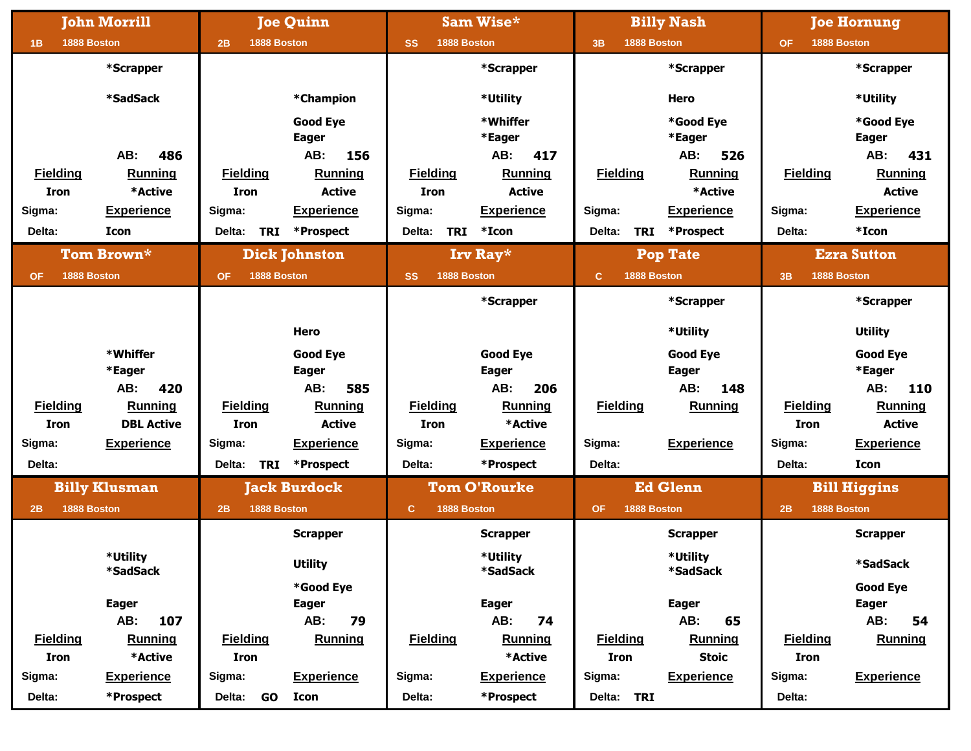|                          | <b>John Morrill</b>  |                          | <b>Joe Quinn</b>     |                             | Sam Wise*            |                 | <b>Billy Nash</b>       |                          | <b>Joe Hornung</b>  |
|--------------------------|----------------------|--------------------------|----------------------|-----------------------------|----------------------|-----------------|-------------------------|--------------------------|---------------------|
| 1888 Boston<br>1B        |                      | 1888 Boston<br>2B        |                      | <b>SS</b><br>1888 Boston    |                      | 3B              | 1888 Boston             | 1888 Boston<br><b>OF</b> |                     |
|                          | *Scrapper            |                          |                      |                             | *Scrapper            |                 | *Scrapper               |                          | *Scrapper           |
|                          | *SadSack             |                          | *Champion            |                             | *Utility             |                 | <b>Hero</b>             |                          | *Utility            |
|                          |                      |                          | <b>Good Eye</b>      |                             | *Whiffer             |                 | *Good Eye               |                          | *Good Eye           |
|                          |                      |                          | <b>Eager</b>         |                             | *Eager               |                 | *Eager                  |                          | <b>Eager</b>        |
|                          | AB:<br>486           |                          | AB:<br>156           |                             | AB:<br>417           |                 | AB:<br>526              |                          | AB:<br>431          |
| <b>Fielding</b>          | Running              | <b>Fielding</b>          | <b>Running</b>       | <b>Fielding</b>             | <b>Running</b>       | <b>Fielding</b> | Running                 | <b>Fielding</b>          | <b>Running</b>      |
| <b>Iron</b>              | *Active              | <b>Iron</b>              | <b>Active</b>        | <b>Iron</b>                 | <b>Active</b>        |                 | *Active                 |                          | <b>Active</b>       |
| Sigma:                   | <b>Experience</b>    | Sigma:                   | <b>Experience</b>    | Sigma:                      | <b>Experience</b>    | Sigma:          | <b>Experience</b>       | Sigma:                   | <b>Experience</b>   |
| Delta:                   | Icon                 | <b>TRI</b><br>Delta:     | *Prospect            | <b>TRI</b><br>Delta:        | $*Icon$              | Delta:          | <b>TRI</b><br>*Prospect | Delta:                   | *Icon               |
|                          | Tom Brown*           |                          | <b>Dick Johnston</b> |                             | Irv Ray*             |                 | <b>Pop Tate</b>         |                          | <b>Ezra Sutton</b>  |
| 1888 Boston<br><b>OF</b> |                      | 1888 Boston<br><b>OF</b> |                      | 1888 Boston<br><b>SS</b>    |                      | c               | 1888 Boston             | 1888 Boston<br>3B        |                     |
|                          |                      |                          |                      |                             | *Scrapper            |                 | *Scrapper               |                          | *Scrapper           |
|                          |                      |                          | Hero                 |                             |                      |                 | *Utility                |                          | <b>Utility</b>      |
|                          | *Whiffer             |                          | <b>Good Eye</b>      |                             | <b>Good Eye</b>      |                 | <b>Good Eye</b>         |                          | <b>Good Eye</b>     |
|                          | *Eager               |                          | <b>Eager</b>         |                             | <b>Eager</b>         |                 | <b>Eager</b>            |                          | *Eager              |
|                          | 420<br>AB:           |                          | AB:<br>585           |                             | AB:<br>206           |                 | AB:<br>148              |                          | AB:<br>110          |
| <b>Fielding</b>          | <b>Running</b>       | <b>Fielding</b>          | <b>Running</b>       | <b>Fielding</b>             | Running              | <b>Fielding</b> | <b>Running</b>          | <b>Fielding</b>          | <b>Running</b>      |
| <b>Iron</b>              | <b>DBL Active</b>    | <b>Iron</b>              | <b>Active</b>        | <b>Iron</b>                 | *Active              |                 |                         | <b>Iron</b>              | <b>Active</b>       |
| Sigma:                   | <b>Experience</b>    | Sigma:                   | <b>Experience</b>    | Sigma:                      | <b>Experience</b>    | Sigma:          | <b>Experience</b>       | Sigma:                   | <b>Experience</b>   |
| Delta:                   |                      | Delta:<br>TRI            | *Prospect            | Delta:                      | *Prospect            | Delta:          |                         | Delta:                   | <b>Icon</b>         |
|                          | <b>Billy Klusman</b> |                          | <b>Jack Burdock</b>  |                             | <b>Tom O'Rourke</b>  |                 | <b>Ed Glenn</b>         |                          | <b>Bill Higgins</b> |
| 1888 Boston<br>2B        |                      | 1888 Boston<br>2B        |                      | $\mathbf{C}$<br>1888 Boston |                      | <b>OF</b>       | 1888 Boston             | 1888 Boston<br>2B        |                     |
|                          |                      |                          | <b>Scrapper</b>      |                             | <b>Scrapper</b>      |                 | <b>Scrapper</b>         |                          | <b>Scrapper</b>     |
|                          | *Utility<br>*SadSack |                          | <b>Utility</b>       |                             | *Utility<br>*SadSack |                 | *Utility<br>*SadSack    |                          | <b>*SadSack</b>     |
|                          |                      |                          | *Good Eye            |                             |                      |                 |                         |                          | <b>Good Eye</b>     |
|                          | <b>Eager</b>         |                          | <b>Eager</b>         |                             | <b>Eager</b>         |                 | <b>Eager</b>            |                          | <b>Eager</b>        |
|                          | AB:<br>107           |                          | AB:<br>79            |                             | AB:<br>74            |                 | AB:<br>65               |                          | AB:<br>54           |
| <b>Fielding</b>          | <b>Running</b>       | <b>Fielding</b>          | <b>Running</b>       | <b>Fielding</b>             | <b>Running</b>       | <b>Fielding</b> | <b>Running</b>          | <b>Fielding</b>          | <b>Running</b>      |
| <b>Iron</b>              | *Active              | <b>Iron</b>              |                      |                             | *Active              | <b>Iron</b>     | <b>Stoic</b>            | <b>Iron</b>              |                     |
| Sigma:                   | <b>Experience</b>    | Sigma:                   | <b>Experience</b>    | Sigma:                      | <b>Experience</b>    | Sigma:          | <b>Experience</b>       | Sigma:                   | <b>Experience</b>   |
| Delta:                   | *Prospect            | Delta:<br>GO             | Icon                 | Delta:                      | *Prospect            | Delta: TRI      |                         | Delta:                   |                     |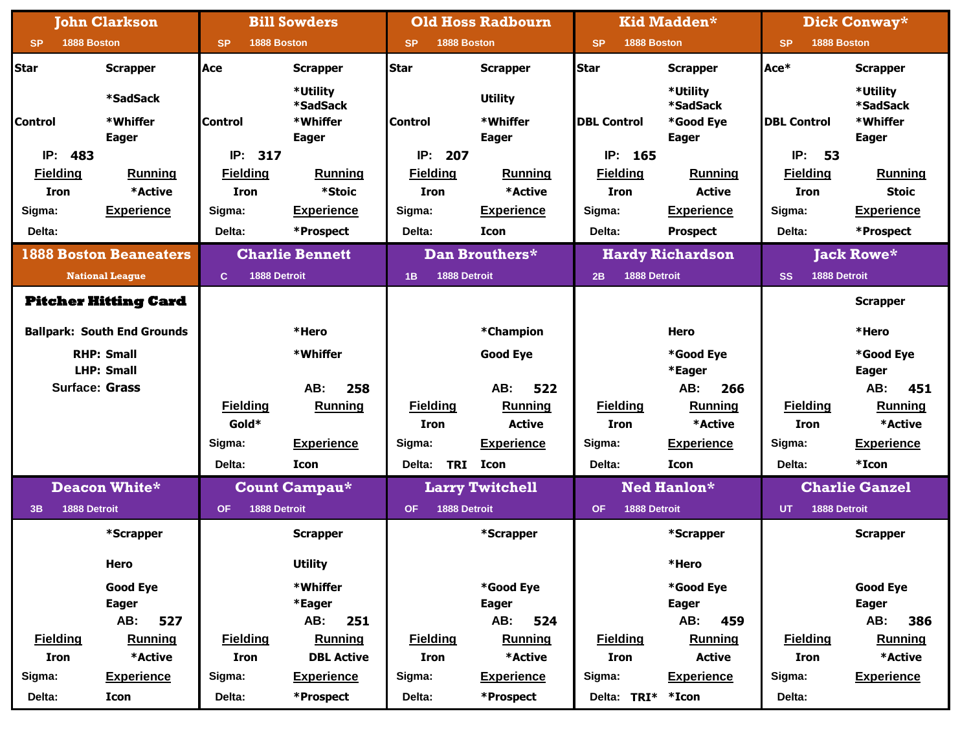|                          | <b>John Clarkson</b>               |                              | <b>Bill Sowders</b>                     |                           | <b>Old Hoss Radbourn</b>   |                           | Kid Madden*                       |                           | Dick Conway*                            |
|--------------------------|------------------------------------|------------------------------|-----------------------------------------|---------------------------|----------------------------|---------------------------|-----------------------------------|---------------------------|-----------------------------------------|
| 1888 Boston<br><b>SP</b> |                                    | 1888 Boston<br><b>SP</b>     |                                         | 1888 Boston<br><b>SP</b>  |                            | 1888 Boston<br><b>SP</b>  |                                   | 1888 Boston<br><b>SP</b>  |                                         |
| <b>Star</b>              | <b>Scrapper</b>                    | lAce                         | <b>Scrapper</b>                         | <b>Star</b>               | <b>Scrapper</b>            | <b>Star</b>               | <b>Scrapper</b>                   | Ace*                      | <b>Scrapper</b>                         |
| <b>Control</b>           | *SadSack<br>*Whiffer               | <b>Control</b>               | *Utility<br><b>*SadSack</b><br>*Whiffer | <b>Control</b>            | <b>Utility</b><br>*Whiffer | <b>DBL Control</b>        | *Utility<br>*SadSack<br>*Good Eye | <b>DBL Control</b>        | *Utility<br><b>*SadSack</b><br>*Whiffer |
| 483<br>IP:               | <b>Eager</b>                       | IP: 317                      | <b>Eager</b>                            | 207<br>IP:                | <b>Eager</b>               | IP:<br>165                | <b>Eager</b>                      | IP:<br>53                 | <b>Eager</b>                            |
| <b>Fielding</b>          | Running                            | <b>Fielding</b>              | Running                                 | <b>Fielding</b>           | Running                    | Fielding                  | <b>Running</b>                    | <b>Fielding</b>           | <b>Running</b>                          |
| <b>Iron</b>              | *Active                            | <b>Iron</b>                  | *Stoic                                  | <b>Iron</b>               | *Active                    | <b>Iron</b>               | <b>Active</b>                     | <b>Iron</b>               | <b>Stoic</b>                            |
| Sigma:                   | <b>Experience</b>                  | Sigma:                       | <b>Experience</b>                       | Sigma:                    | <b>Experience</b>          | Sigma:                    | <b>Experience</b>                 | Sigma:                    | <b>Experience</b>                       |
| Delta:                   |                                    | Delta:                       | *Prospect                               | Delta:                    | <b>Icon</b>                | Delta:                    | <b>Prospect</b>                   | Delta:                    | *Prospect                               |
|                          | <b>1888 Boston Beaneaters</b>      |                              | <b>Charlie Bennett</b>                  |                           | Dan Brouthers*             |                           | <b>Hardy Richardson</b>           |                           | <b>Jack Rowe*</b>                       |
|                          | <b>National League</b>             | 1888 Detroit<br>$\mathbf{C}$ |                                         | 1888 Detroit<br>1B        |                            | 1888 Detroit<br>2B        |                                   | 1888 Detroit<br><b>SS</b> |                                         |
|                          |                                    |                              |                                         |                           |                            |                           |                                   |                           |                                         |
|                          | <b>Pitcher Hitting Card</b>        |                              |                                         |                           |                            |                           |                                   |                           | <b>Scrapper</b>                         |
|                          | <b>Ballpark: South End Grounds</b> |                              | *Hero                                   |                           | *Champion                  |                           | <b>Hero</b>                       |                           | *Hero                                   |
|                          | <b>RHP: Small</b>                  |                              | *Whiffer                                |                           | <b>Good Eye</b>            |                           | *Good Eye                         |                           | *Good Eye                               |
|                          | <b>LHP: Small</b>                  |                              |                                         |                           |                            |                           | *Eager                            |                           | <b>Eager</b>                            |
|                          | <b>Surface: Grass</b>              |                              | AB:<br>258                              |                           | 522<br>AB:                 |                           | AB:<br>266                        |                           | AB:<br>451                              |
|                          |                                    | <b>Fielding</b>              | <b>Running</b>                          | <b>Fielding</b>           | <b>Running</b>             | <b>Fielding</b>           | <b>Running</b>                    | <b>Fielding</b>           | <b>Running</b>                          |
|                          |                                    | Gold*                        |                                         | <b>Iron</b>               | <b>Active</b>              | <b>Iron</b>               | *Active                           | <b>Iron</b>               | *Active                                 |
|                          |                                    | Sigma:                       | <b>Experience</b>                       | Sigma:                    | <b>Experience</b>          | Sigma:                    | <b>Experience</b>                 | Sigma:                    | <b>Experience</b>                       |
|                          |                                    | Delta:                       | <b>Icon</b>                             | Delta:                    | TRI Icon                   | Delta:                    | <b>Icon</b>                       | Delta:                    | *Icon                                   |
|                          | Deacon White*                      |                              | <b>Count Campau*</b>                    |                           | <b>Larry Twitchell</b>     |                           | Ned Hanlon*                       |                           | <b>Charlie Ganzel</b>                   |
| 1888 Detroit<br>3B       |                                    | 1888 Detroit<br><b>OF</b>    |                                         | 1888 Detroit<br><b>OF</b> |                            | 1888 Detroit<br><b>OF</b> |                                   | 1888 Detroit<br><b>UT</b> |                                         |
|                          | *Scrapper                          |                              | <b>Scrapper</b>                         |                           | *Scrapper                  |                           | *Scrapper                         |                           | <b>Scrapper</b>                         |
|                          | Hero                               |                              | <b>Utility</b>                          |                           |                            |                           | *Hero                             |                           |                                         |
|                          | <b>Good Eye</b>                    |                              | *Whiffer                                |                           | *Good Eye                  |                           | *Good Eye                         |                           | <b>Good Eye</b>                         |
|                          | <b>Eager</b>                       |                              | *Eager                                  |                           | <b>Eager</b>               |                           | <b>Eager</b>                      |                           | <b>Eager</b>                            |
|                          | 527<br>AB:                         |                              | AB:<br>251                              |                           | 524<br>AB:                 |                           | AB:<br>459                        |                           | AB:<br>386                              |
| <b>Fielding</b>          | <b>Running</b>                     | <b>Fielding</b>              | <b>Running</b>                          | <b>Fielding</b>           | <b>Running</b>             | <b>Fielding</b>           | <b>Running</b>                    | <b>Fielding</b>           | <b>Running</b>                          |
| Iron                     | *Active                            | Iron                         | <b>DBL Active</b>                       | Iron                      | *Active                    | <b>Iron</b>               | <b>Active</b>                     | Iron                      | *Active                                 |
| Sigma:                   | <b>Experience</b>                  | Sigma:                       | <b>Experience</b>                       | Sigma:                    | <b>Experience</b>          | Sigma:                    | <b>Experience</b>                 | Sigma:                    | <b>Experience</b>                       |
| Delta:                   | Icon                               | Delta:                       | *Prospect                               | Delta:                    | *Prospect                  | Delta: TRI* *Icon         |                                   | Delta:                    |                                         |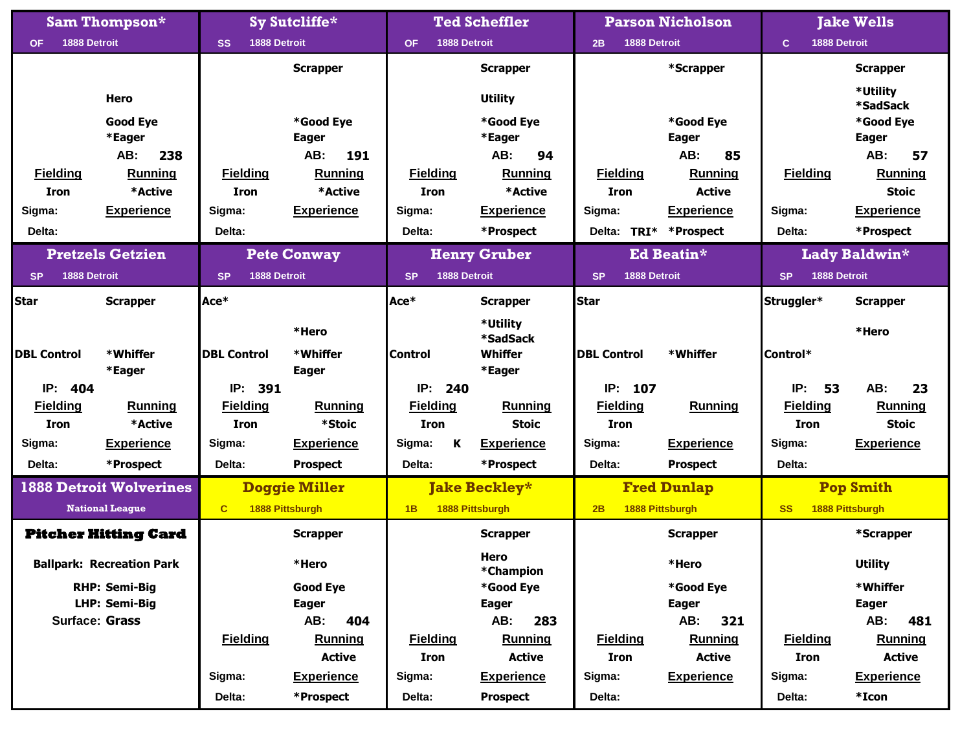|                                | <b>Sam Thompson*</b>             |                           | Sy Sutcliffe*            |                               | <b>Ted Scheffler</b> |                               | <b>Parson Nicholson</b> |                              | <b>Jake Wells</b>           |
|--------------------------------|----------------------------------|---------------------------|--------------------------|-------------------------------|----------------------|-------------------------------|-------------------------|------------------------------|-----------------------------|
| 1888 Detroit<br><b>OF</b>      |                                  | 1888 Detroit<br><b>SS</b> |                          | <b>OF</b>                     | 1888 Detroit         | 2B                            | 1888 Detroit            | $\mathbf{C}$<br>1888 Detroit |                             |
|                                |                                  |                           | <b>Scrapper</b>          |                               | <b>Scrapper</b>      |                               | *Scrapper               |                              | <b>Scrapper</b>             |
|                                | <b>Hero</b>                      |                           |                          |                               | <b>Utility</b>       |                               |                         |                              | *Utility<br>*SadSack        |
|                                | <b>Good Eye</b>                  |                           | *Good Eye                |                               | *Good Eye            |                               | *Good Eye               |                              | *Good Eye                   |
|                                | *Eager                           |                           | <b>Eager</b>             |                               | *Eager               |                               | <b>Eager</b>            |                              | <b>Eager</b>                |
|                                | 238<br>AB:                       |                           | AB:<br>191               |                               | AB:<br>94            |                               | AB:<br>85               |                              | AB:<br>57                   |
| <b>Fielding</b>                | <b>Running</b>                   | <b>Fielding</b>           | Running                  | <b>Fielding</b>               | Running              | <b>Fielding</b>               | Running                 | <b>Fielding</b>              | <b>Running</b>              |
| <b>Iron</b>                    | *Active                          | <b>Iron</b>               | *Active                  | <b>Iron</b>                   | *Active              | <b>Iron</b>                   | <b>Active</b>           |                              | <b>Stoic</b>                |
| Sigma:                         | <b>Experience</b>                | Sigma:                    | <b>Experience</b>        | Sigma:                        | <b>Experience</b>    | Sigma:                        | <b>Experience</b>       | Sigma:                       | <b>Experience</b>           |
| Delta:                         |                                  | Delta:                    |                          | Delta:                        | *Prospect            | TRI*<br>Delta:                | *Prospect               | Delta:                       | *Prospect                   |
|                                | <b>Pretzels Getzien</b>          |                           | <b>Pete Conway</b>       |                               | <b>Henry Gruber</b>  |                               | Ed Beatin*              |                              | Lady Baldwin*               |
| 1888 Detroit<br><b>SP</b>      |                                  | 1888 Detroit<br><b>SP</b> |                          | <b>SP</b>                     | 1888 Detroit         | <b>SP</b>                     | 1888 Detroit            | 1888 Detroit<br><b>SP</b>    |                             |
| Star                           | <b>Scrapper</b>                  | Ace*                      |                          | Ace*                          | <b>Scrapper</b>      | <b>Star</b>                   |                         | Struggler*                   | <b>Scrapper</b>             |
|                                |                                  |                           | *Hero                    |                               | *Utility<br>*SadSack |                               |                         |                              | *Hero                       |
| <b>DBL Control</b>             | *Whiffer                         | <b>DBL Control</b>        | *Whiffer                 | <b>Control</b>                | Whiffer              | <b>DBL Control</b>            | *Whiffer                | Control*                     |                             |
|                                | *Eager                           | IP: 391                   | <b>Eager</b>             |                               | *Eager               |                               |                         |                              |                             |
| IP: 404                        |                                  | <b>Fielding</b>           |                          | IP:<br>240<br><b>Fielding</b> | <b>Running</b>       | IP:<br>107<br><b>Fielding</b> |                         | IP:<br>53<br><b>Fielding</b> | AB:<br>23<br><b>Running</b> |
| <b>Fielding</b><br><b>Iron</b> | <b>Running</b><br>*Active        | <b>Iron</b>               | <b>Running</b><br>*Stoic | <b>Iron</b>                   | <b>Stoic</b>         | <b>Iron</b>                   | <b>Running</b>          | <b>Iron</b>                  | <b>Stoic</b>                |
| Sigma:                         | <b>Experience</b>                | Sigma:                    | <b>Experience</b>        | Sigma:<br>K                   | <b>Experience</b>    | Sigma:                        | <b>Experience</b>       | Sigma:                       | <b>Experience</b>           |
|                                |                                  |                           |                          |                               |                      |                               |                         |                              |                             |
| Delta:                         | *Prospect                        | Delta:                    | <b>Prospect</b>          | Delta:                        | *Prospect            | Delta:                        | <b>Prospect</b>         | Delta:                       |                             |
|                                | <b>1888 Detroit Wolverines</b>   |                           | <b>Doggie Miller</b>     |                               | <b>Jake Beckley*</b> |                               | <b>Fred Dunlap</b>      |                              | <b>Pop Smith</b>            |
|                                | <b>National League</b>           | $\mathbf{C}$              | 1888 Pittsburgh          | 1B                            | 1888 Pittsburgh      | 2B                            | 1888 Pittsburgh         | <b>SS</b>                    | 1888 Pittsburgh             |
|                                | <b>Pitcher Hitting Card</b>      |                           | <b>Scrapper</b>          |                               | <b>Scrapper</b>      |                               | <b>Scrapper</b>         |                              | *Scrapper                   |
|                                | <b>Ballpark: Recreation Park</b> |                           | *Hero                    |                               | Hero<br>*Champion    |                               | *Hero                   |                              | <b>Utility</b>              |
|                                | <b>RHP: Semi-Big</b>             |                           | <b>Good Eye</b>          |                               | *Good Eye            |                               | *Good Eye               |                              | *Whiffer                    |
|                                | LHP: Semi-Big                    |                           | Eager                    |                               | <b>Eager</b>         |                               | <b>Eager</b>            |                              | <b>Eager</b>                |
|                                | <b>Surface: Grass</b>            |                           | AB:<br>404               |                               | AB:<br>283           |                               | AB:<br>321              |                              | AB:<br>481                  |
|                                |                                  | <b>Fielding</b>           | <b>Running</b>           | <b>Fielding</b>               | <b>Running</b>       | <b>Fielding</b>               | <b>Running</b>          | <b>Fielding</b>              | <b>Running</b>              |
|                                |                                  |                           | <b>Active</b>            | Iron                          | <b>Active</b>        | Iron                          | <b>Active</b>           | Iron                         | <b>Active</b>               |
|                                |                                  | Sigma:                    | <b>Experience</b>        | Sigma:                        | <b>Experience</b>    | Sigma:                        | <b>Experience</b>       | Sigma:                       | <b>Experience</b>           |
|                                |                                  | Delta:                    | *Prospect                | Delta:                        | <b>Prospect</b>      | Delta:                        |                         | Delta:                       | *Icon                       |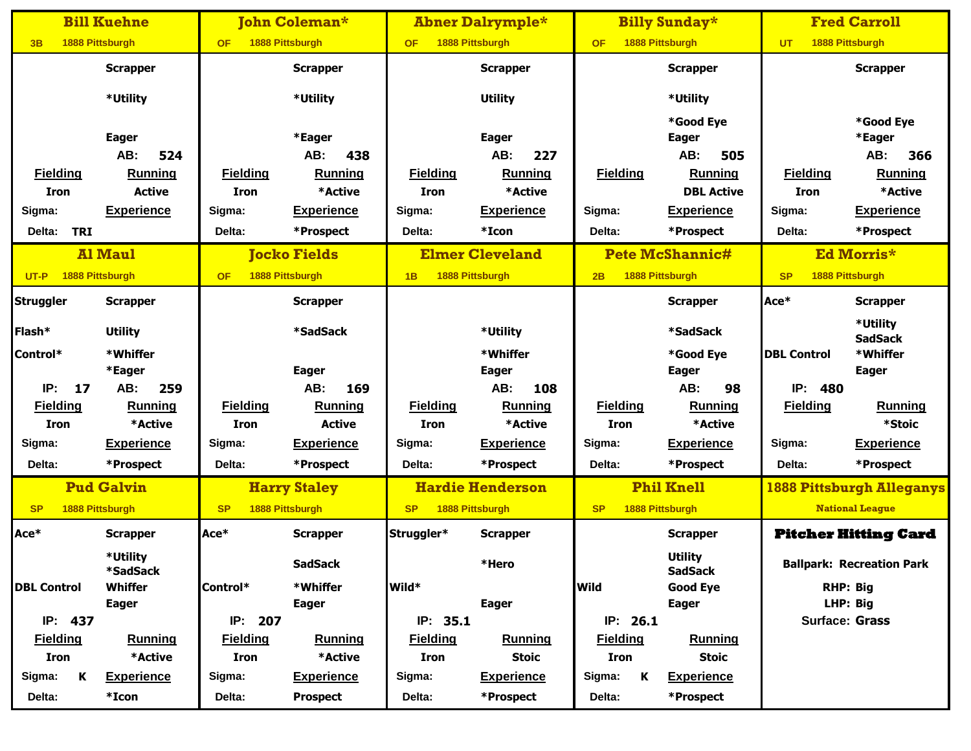|                      | <b>Bill Kuehne</b>          |                 | <b>John Coleman*</b> |                 | <b>Abner Dalrymple*</b> |                 | <b>Billy Sunday*</b>             |                              | <b>Fred Carroll</b>              |
|----------------------|-----------------------------|-----------------|----------------------|-----------------|-------------------------|-----------------|----------------------------------|------------------------------|----------------------------------|
| 3B                   | 1888 Pittsburgh             | <b>OF</b>       | 1888 Pittsburgh      | <b>OF</b>       | 1888 Pittsburgh         | <b>OF</b>       | 1888 Pittsburgh                  | <b>UT</b>                    | 1888 Pittsburgh                  |
|                      | <b>Scrapper</b>             |                 | <b>Scrapper</b>      |                 | <b>Scrapper</b>         |                 | <b>Scrapper</b>                  |                              | <b>Scrapper</b>                  |
|                      |                             |                 |                      |                 |                         |                 |                                  |                              |                                  |
|                      | *Utility                    |                 | *Utility             |                 | <b>Utility</b>          |                 | *Utility                         |                              |                                  |
|                      | <b>Eager</b>                |                 | *Eager               |                 | <b>Eager</b>            |                 | *Good Eye<br><b>Eager</b>        |                              | *Good Eye<br>*Eager              |
|                      | AB:<br>524                  |                 | AB:<br>438           |                 | AB:<br>227              |                 | AB:<br>505                       |                              | AB:<br>366                       |
| <b>Fielding</b>      | Running                     | <b>Fielding</b> | <b>Running</b>       | <b>Fielding</b> | Running                 | <b>Fielding</b> | <b>Running</b>                   | <b>Fielding</b>              | Running                          |
| Iron                 | <b>Active</b>               | <b>Iron</b>     | *Active              | <b>Iron</b>     | *Active                 |                 | <b>DBL Active</b>                | <b>Iron</b>                  | *Active                          |
| Sigma:               | <b>Experience</b>           | Sigma:          | <b>Experience</b>    | Sigma:          | <b>Experience</b>       | Sigma:          | <b>Experience</b>                | Sigma:                       | <b>Experience</b>                |
| <b>TRI</b><br>Delta: |                             | Delta:          | *Prospect            | Delta:          | *Icon                   | Delta:          | *Prospect                        | Delta:                       | *Prospect                        |
|                      | <b>Al Maul</b>              |                 | <b>Jocko Fields</b>  |                 | <b>Elmer Cleveland</b>  |                 | <b>Pete McShannic#</b>           |                              | Ed Morris*                       |
| UT-P                 | 1888 Pittsburgh             | <b>OF</b>       | 1888 Pittsburgh      | 1B              | 1888 Pittsburgh         | 2B              | 1888 Pittsburgh                  | 1888 Pittsburgh<br><b>SP</b> |                                  |
| <b>Struggler</b>     | <b>Scrapper</b>             |                 | <b>Scrapper</b>      |                 |                         |                 | <b>Scrapper</b>                  | Ace*                         | <b>Scrapper</b>                  |
|                      |                             |                 |                      |                 |                         |                 |                                  |                              | *Utility                         |
| Flash*               | <b>Utility</b>              |                 | *SadSack             |                 | *Utility                |                 | *SadSack                         |                              | <b>SadSack</b>                   |
| Control*             | *Whiffer                    |                 |                      |                 | *Whiffer                |                 | *Good Eye                        | <b>DBL Control</b>           | *Whiffer                         |
|                      | *Eager                      |                 | <b>Eager</b>         |                 | <b>Eager</b>            |                 | <b>Eager</b>                     |                              | <b>Eager</b>                     |
| IP:<br>17            | AB:<br>259                  |                 | AB:<br>169           |                 | AB:<br>108              |                 | AB:<br>98                        | IP:<br>480                   |                                  |
| <b>Fielding</b>      | <b>Running</b>              | <b>Fielding</b> | <b>Running</b>       | <b>Fielding</b> | <b>Running</b>          | <b>Fielding</b> | <b>Running</b>                   | <b>Fielding</b>              | <b>Running</b>                   |
| Iron                 | *Active                     | <b>Iron</b>     | <b>Active</b>        | <b>Iron</b>     | *Active                 | <b>Iron</b>     | *Active                          |                              | *Stoic                           |
| Sigma:               | <b>Experience</b>           | Sigma:          | <b>Experience</b>    | Sigma:          | <b>Experience</b>       | Sigma:          | <b>Experience</b>                | Sigma:                       | <b>Experience</b>                |
| Delta:               | *Prospect                   | Delta:          | *Prospect            | Delta:          | *Prospect               | Delta:          | *Prospect                        | Delta:                       | *Prospect                        |
|                      | <b>Pud Galvin</b>           |                 | <b>Harry Staley</b>  |                 | <b>Hardie Henderson</b> |                 | <b>Phil Knell</b>                |                              | <b>1888 Pittsburgh Alleganys</b> |
| <b>SP</b>            | 1888 Pittsburgh             | <b>SP</b>       | 1888 Pittsburgh      | <b>SP</b>       | 1888 Pittsburgh         | <b>SP</b>       | 1888 Pittsburgh                  |                              | <b>National League</b>           |
| Ace*                 | <b>Scrapper</b>             | Ace*            | <b>Scrapper</b>      | Struggler*      | <b>Scrapper</b>         |                 | <b>Scrapper</b>                  |                              | <b>Pitcher Hitting Card</b>      |
|                      | *Utility<br><b>*SadSack</b> |                 | <b>SadSack</b>       |                 | *Hero                   |                 | <b>Utility</b><br><b>SadSack</b> |                              | <b>Ballpark: Recreation Park</b> |
| <b>DBL Control</b>   | Whiffer                     | Control*        | *Whiffer             | Wild*           |                         | <b>Wild</b>     | <b>Good Eye</b>                  | <b>RHP: Big</b>              |                                  |
|                      | <b>Eager</b>                |                 | <b>Eager</b>         |                 | <b>Eager</b>            |                 | <b>Eager</b>                     |                              | LHP: Big                         |
| IP: 437              |                             | IP: 207         |                      | IP: 35.1        |                         | IP: 26.1        |                                  | <b>Surface: Grass</b>        |                                  |
| <b>Fielding</b>      | <b>Running</b>              | <b>Fielding</b> | <b>Running</b>       | <b>Fielding</b> | <b>Running</b>          | <b>Fielding</b> | <b>Running</b>                   |                              |                                  |
| <b>Iron</b>          | *Active                     | Iron            | *Active              | Iron            | <b>Stoic</b>            | <b>Iron</b>     | <b>Stoic</b>                     |                              |                                  |
| Sigma:<br>K          | <b>Experience</b>           | Sigma:          | <b>Experience</b>    | Sigma:          | <b>Experience</b>       | K<br>Sigma:     | <b>Experience</b>                |                              |                                  |
| Delta:               | *Icon                       | Delta:          | <b>Prospect</b>      | Delta:          | *Prospect               | Delta:          | *Prospect                        |                              |                                  |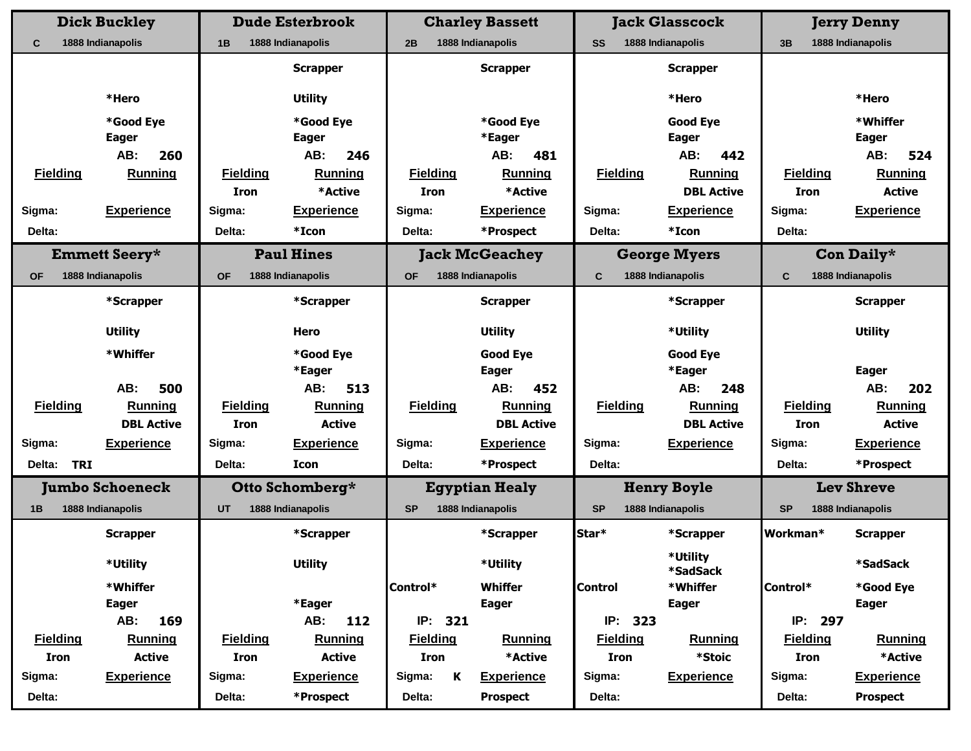|                      | <b>Dick Buckley</b>        |                 | <b>Dude Esterbrook</b>     |                 |   | <b>Charley Bassett</b> |                 |         | <b>Jack Glasscock</b>      |                         | <b>Jerry Denny</b>         |
|----------------------|----------------------------|-----------------|----------------------------|-----------------|---|------------------------|-----------------|---------|----------------------------|-------------------------|----------------------------|
| C                    | 1888 Indianapolis          | 1B              | 1888 Indianapolis          | 2B              |   | 1888 Indianapolis      | <b>SS</b>       |         | 1888 Indianapolis          | 1888 Indianapolis<br>3B |                            |
|                      |                            |                 | <b>Scrapper</b>            |                 |   | <b>Scrapper</b>        |                 |         | <b>Scrapper</b>            |                         |                            |
|                      |                            |                 |                            |                 |   |                        |                 |         |                            |                         |                            |
|                      | *Hero                      |                 | <b>Utility</b>             |                 |   |                        |                 |         | *Hero                      |                         | *Hero                      |
|                      | *Good Eye                  |                 | *Good Eye                  |                 |   | *Good Eye              |                 |         | <b>Good Eye</b>            |                         | *Whiffer                   |
|                      | <b>Eager</b><br>AB:<br>260 |                 | <b>Eager</b><br>246<br>AB: |                 |   | *Eager<br>AB:<br>481   |                 |         | <b>Eager</b><br>AB:<br>442 |                         | <b>Eager</b><br>524<br>AB: |
| <b>Fielding</b>      | <b>Running</b>             | <b>Fielding</b> | <b>Running</b>             | <b>Fielding</b> |   | <b>Running</b>         | <b>Fielding</b> |         | <b>Running</b>             | <b>Fielding</b>         | <b>Running</b>             |
|                      |                            | <b>Iron</b>     | *Active                    | <b>Iron</b>     |   | *Active                |                 |         | <b>DBL Active</b>          | <b>Iron</b>             | <b>Active</b>              |
| Sigma:               | <b>Experience</b>          | Sigma:          | <b>Experience</b>          | Sigma:          |   | <b>Experience</b>      | Sigma:          |         | <b>Experience</b>          | Sigma:                  | <b>Experience</b>          |
| Delta:               |                            | Delta:          | *Icon                      | Delta:          |   | *Prospect              | Delta:          |         | *Icon                      | Delta:                  |                            |
|                      |                            |                 |                            |                 |   |                        |                 |         |                            |                         |                            |
|                      | <b>Emmett Seery*</b>       |                 | <b>Paul Hines</b>          |                 |   | <b>Jack McGeachey</b>  |                 |         | <b>George Myers</b>        |                         | Con Daily*                 |
| <b>OF</b>            | 1888 Indianapolis          | <b>OF</b>       | 1888 Indianapolis          | <b>OF</b>       |   | 1888 Indianapolis      | C               |         | 1888 Indianapolis          | C                       | 1888 Indianapolis          |
|                      | *Scrapper                  |                 | *Scrapper                  |                 |   | <b>Scrapper</b>        |                 |         | *Scrapper                  |                         | <b>Scrapper</b>            |
|                      | <b>Utility</b>             |                 | Hero                       |                 |   | <b>Utility</b>         |                 |         | *Utility                   |                         | <b>Utility</b>             |
|                      | *Whiffer                   |                 | *Good Eye                  |                 |   | <b>Good Eye</b>        |                 |         | <b>Good Eye</b>            |                         |                            |
|                      |                            |                 | *Eager                     |                 |   | <b>Eager</b>           |                 |         | *Eager                     |                         | <b>Eager</b>               |
|                      | AB:<br>500                 |                 | AB:<br>513                 |                 |   | 452<br>AB:             |                 |         | AB:<br>248                 |                         | AB:<br>202                 |
| <b>Fielding</b>      | Running                    | <b>Fielding</b> | Running                    | <b>Fielding</b> |   | Running                | <b>Fielding</b> |         | Running                    | <b>Fielding</b>         | Running                    |
|                      | <b>DBL Active</b>          | <b>Iron</b>     | <b>Active</b>              |                 |   | <b>DBL Active</b>      |                 |         | <b>DBL Active</b>          | <b>Iron</b>             | <b>Active</b>              |
| Sigma:               | <b>Experience</b>          | Sigma:          | <b>Experience</b>          | Sigma:          |   | <b>Experience</b>      | Sigma:          |         | <b>Experience</b>          | Sigma:                  | <b>Experience</b>          |
| Delta:<br><b>TRI</b> |                            | Delta:          | Icon                       | Delta:          |   | *Prospect              | Delta:          |         |                            | Delta:                  | *Prospect                  |
|                      | <b>Jumbo Schoeneck</b>     |                 | Otto Schomberg*            |                 |   | <b>Egyptian Healy</b>  |                 |         | <b>Henry Boyle</b>         |                         | <b>Lev Shreve</b>          |
| 1B                   | 1888 Indianapolis          | <b>UT</b>       | 1888 Indianapolis          | <b>SP</b>       |   | 1888 Indianapolis      | <b>SP</b>       |         | 1888 Indianapolis          | <b>SP</b>               | 1888 Indianapolis          |
|                      | <b>Scrapper</b>            |                 | *Scrapper                  |                 |   | *Scrapper              | Star*           |         | *Scrapper                  | Workman*                | <b>Scrapper</b>            |
|                      | *Utility                   |                 | <b>Utility</b>             |                 |   | *Utility               |                 |         | *Utility<br>*SadSack       |                         | <b>*SadSack</b>            |
|                      | *Whiffer                   |                 |                            | Control*        |   | <b>Whiffer</b>         | <b>Control</b>  |         | *Whiffer                   | Control*                | *Good Eye                  |
|                      | <b>Eager</b>               |                 | *Eager                     |                 |   | <b>Eager</b>           |                 |         | <b>Eager</b>               |                         | <b>Eager</b>               |
|                      | AB:<br>169                 |                 | 112<br>AB:                 | IP: 321         |   |                        |                 | IP: 323 |                            | IP: 297                 |                            |
| <b>Fielding</b>      | <b>Running</b>             | <b>Fielding</b> | <b>Running</b>             | <b>Fielding</b> |   | <b>Running</b>         | <b>Fielding</b> |         | <b>Running</b>             | <b>Fielding</b>         | <b>Running</b>             |
| <b>Iron</b>          | <b>Active</b>              | <b>Iron</b>     | <b>Active</b>              | Iron            |   | *Active                | <b>Iron</b>     |         | *Stoic                     | <b>Iron</b>             | *Active                    |
| Sigma:               | <b>Experience</b>          | Sigma:          | <b>Experience</b>          | Sigma:          | K | <b>Experience</b>      | Sigma:          |         | <b>Experience</b>          | Sigma:                  | <b>Experience</b>          |
| Delta:               |                            | Delta:          | *Prospect                  | Delta:          |   | <b>Prospect</b>        | Delta:          |         |                            | Delta:                  | <b>Prospect</b>            |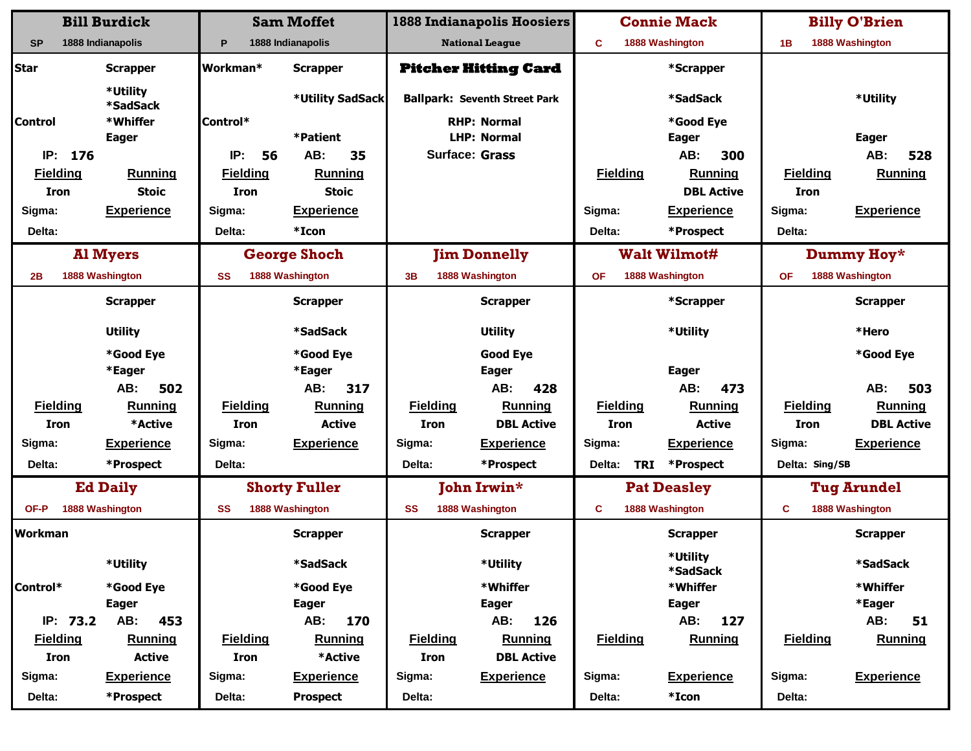|                 | <b>Bill Burdick</b>  |                 | <b>Sam Moffet</b>    |                 | <b>1888 Indianapolis Hoosiers</b>    | <b>Connie Mack</b> |                 |                      | <b>Billy O'Brien</b> |                    |
|-----------------|----------------------|-----------------|----------------------|-----------------|--------------------------------------|--------------------|-----------------|----------------------|----------------------|--------------------|
| <b>SP</b>       | 1888 Indianapolis    | P               | 1888 Indianapolis    |                 | <b>National League</b>               | C                  |                 | 1888 Washington      | 1B                   | 1888 Washington    |
| <b>Star</b>     | <b>Scrapper</b>      | Workman*        | <b>Scrapper</b>      |                 | <b>Pitcher Hitting Card</b>          |                    |                 | *Scrapper            |                      |                    |
|                 | *Utility<br>*SadSack |                 | *Utility SadSack     |                 | <b>Ballpark: Seventh Street Park</b> |                    |                 | *SadSack             |                      | *Utility           |
| <b>Control</b>  | *Whiffer             | Control*        |                      |                 | <b>RHP: Normal</b>                   |                    |                 | *Good Eye            |                      |                    |
|                 | <b>Eager</b>         |                 | *Patient             |                 | <b>LHP: Normal</b>                   |                    |                 | <b>Eager</b>         |                      | <b>Eager</b>       |
| IP: 176         |                      | IP:<br>56       | AB:<br>35            |                 | <b>Surface: Grass</b>                |                    |                 | AB:<br>300           |                      | AB:<br>528         |
| <b>Fielding</b> | <b>Running</b>       | <b>Fielding</b> | <b>Running</b>       |                 |                                      |                    | <b>Fielding</b> | <b>Running</b>       | <b>Fielding</b>      | Running            |
| <b>Iron</b>     | <b>Stoic</b>         | <b>Iron</b>     | <b>Stoic</b>         |                 |                                      |                    |                 | <b>DBL Active</b>    | <b>Iron</b>          |                    |
| Sigma:          | <b>Experience</b>    | Sigma:          | <b>Experience</b>    |                 |                                      | Sigma:             |                 | <b>Experience</b>    | Sigma:               | <b>Experience</b>  |
| Delta:          |                      | Delta:          | *Icon                |                 |                                      | Delta:             |                 | *Prospect            | Delta:               |                    |
|                 | <b>Al Myers</b>      |                 | <b>George Shoch</b>  |                 | <b>Jim Donnelly</b>                  |                    |                 | <b>Walt Wilmot#</b>  |                      | Dummy Hoy*         |
| 2В              | 1888 Washington      | SS              | 1888 Washington      | 3B              | 1888 Washington                      | <b>OF</b>          |                 | 1888 Washington      | <b>OF</b>            | 1888 Washington    |
|                 | <b>Scrapper</b>      |                 | <b>Scrapper</b>      |                 | <b>Scrapper</b>                      |                    |                 | *Scrapper            |                      | <b>Scrapper</b>    |
|                 | <b>Utility</b>       |                 | *SadSack             |                 | <b>Utility</b>                       |                    |                 | *Utility             |                      | *Hero              |
|                 | *Good Eye            |                 | *Good Eye            |                 | <b>Good Eye</b>                      |                    |                 |                      |                      | *Good Eye          |
|                 | *Eager               |                 | *Eager               |                 | <b>Eager</b>                         |                    |                 | <b>Eager</b>         |                      |                    |
|                 | AB:<br>502           |                 | 317<br>AB:           |                 | 428<br>AB:                           |                    |                 | AB:<br>473           |                      | 503<br>AB:         |
| <b>Fielding</b> | Running              | <b>Fielding</b> | Running              | <b>Fielding</b> | <b>Running</b>                       |                    | <b>Fielding</b> | <b>Running</b>       | <b>Fielding</b>      | Running            |
| <b>Iron</b>     | *Active              | <b>Iron</b>     | <b>Active</b>        | <b>Iron</b>     | <b>DBL Active</b>                    |                    | <b>Iron</b>     | <b>Active</b>        | <b>Iron</b>          | <b>DBL Active</b>  |
| Sigma:          | <b>Experience</b>    | Sigma:          | <b>Experience</b>    | Sigma:          | <b>Experience</b>                    | Sigma:             |                 | <b>Experience</b>    | Sigma:               | <b>Experience</b>  |
| Delta:          | *Prospect            | Delta:          |                      | Delta:          | *Prospect                            | Delta:             | <b>TRI</b>      | *Prospect            | Delta: Sing/SB       |                    |
|                 | <b>Ed Daily</b>      |                 | <b>Shorty Fuller</b> |                 | <b>John Irwin*</b>                   |                    |                 | <b>Pat Deasley</b>   |                      | <b>Tug Arundel</b> |
| OF-P            | 1888 Washington      | <b>SS</b>       | 1888 Washington      | <b>SS</b>       | 1888 Washington                      | C                  |                 | 1888 Washington      | C                    | 1888 Washington    |
| <b>Workman</b>  |                      |                 | <b>Scrapper</b>      |                 | <b>Scrapper</b>                      |                    |                 | <b>Scrapper</b>      |                      | <b>Scrapper</b>    |
|                 | *Utility             |                 | *SadSack             |                 | *Utility                             |                    |                 | *Utility<br>*SadSack |                      | <b>*SadSack</b>    |
| Control*        | *Good Eye            |                 | *Good Eye            |                 | *Whiffer                             |                    |                 | *Whiffer             |                      | *Whiffer           |
|                 | <b>Eager</b>         |                 | <b>Eager</b>         |                 | <b>Eager</b>                         |                    |                 | <b>Eager</b>         |                      | *Eager             |
| IP: 73.2        | AB:<br>453           |                 | AB:<br>170           |                 | 126<br>AB:                           |                    |                 | AB:<br>127           |                      | AB:<br>51          |
| <b>Fielding</b> | <b>Running</b>       | <b>Fielding</b> | <b>Running</b>       | <b>Fielding</b> | <b>Running</b>                       |                    | <b>Fielding</b> | <b>Running</b>       | <b>Fielding</b>      | <b>Running</b>     |
| Iron            | <b>Active</b>        | Iron            | *Active              | Iron            | <b>DBL Active</b>                    |                    |                 |                      |                      |                    |
| Sigma:          | <b>Experience</b>    | Sigma:          | <b>Experience</b>    | Sigma:          | <b>Experience</b>                    | Sigma:             |                 | <b>Experience</b>    | Sigma:               | <b>Experience</b>  |
| Delta:          | *Prospect            | Delta:          | <b>Prospect</b>      | Delta:          |                                      | Delta:             |                 | *Icon                | Delta:               |                    |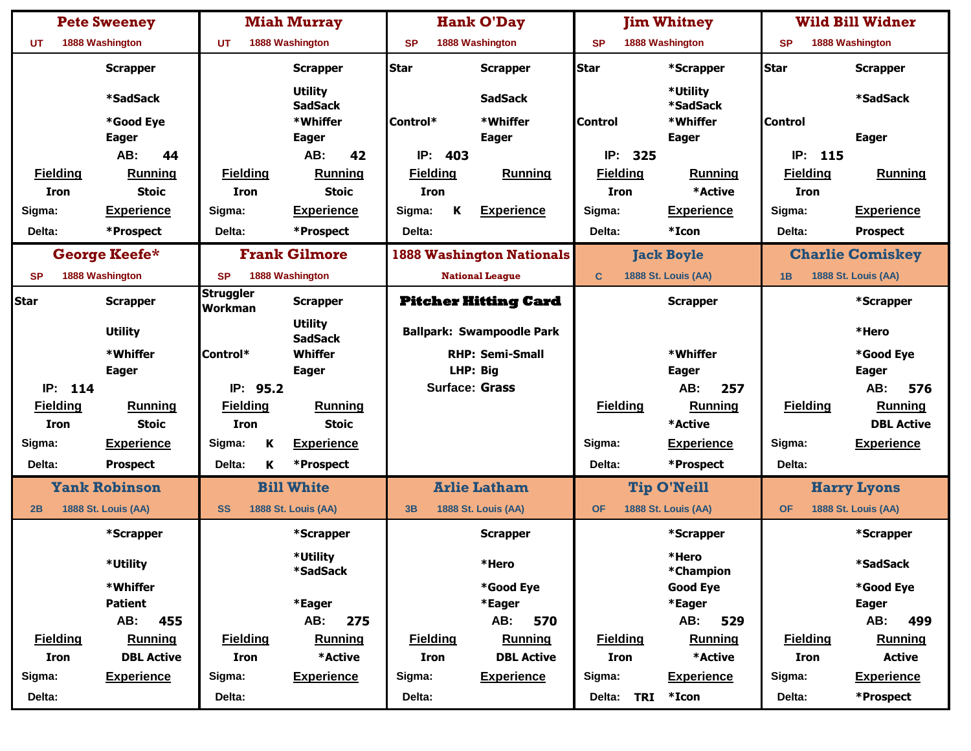|                 | <b>Pete Sweeney</b>        |                                    | <b>Miah Murray</b>               |                 |          | <b>Hank O'Day</b>                |                 |            | <b>Jim Whitney</b>         |                 | <b>Wild Bill Widner</b>    |
|-----------------|----------------------------|------------------------------------|----------------------------------|-----------------|----------|----------------------------------|-----------------|------------|----------------------------|-----------------|----------------------------|
| UT              | 1888 Washington            | UT                                 | 1888 Washington                  | <b>SP</b>       |          | 1888 Washington                  | <b>SP</b>       |            | 1888 Washington            | <b>SP</b>       | 1888 Washington            |
|                 | <b>Scrapper</b>            |                                    | <b>Scrapper</b>                  | <b>Star</b>     |          | <b>Scrapper</b>                  | <b>Star</b>     |            | *Scrapper                  | <b>Star</b>     | <b>Scrapper</b>            |
|                 | *SadSack                   |                                    | <b>Utility</b><br><b>SadSack</b> |                 |          | <b>SadSack</b>                   |                 |            | *Utility<br>*SadSack       |                 | *SadSack                   |
|                 | *Good Eye                  |                                    | *Whiffer                         | Control*        |          | *Whiffer                         | <b>Control</b>  |            | *Whiffer                   | <b>Control</b>  |                            |
|                 | <b>Eager</b>               |                                    | <b>Eager</b>                     |                 |          | <b>Eager</b>                     |                 |            | <b>Eager</b>               |                 | <b>Eager</b>               |
|                 | AB:<br>44                  |                                    | 42<br>AB:                        | IP:             | 403      |                                  | IP:             | 325        |                            | IP:<br>115      |                            |
| <b>Fielding</b> | Running                    | <b>Fielding</b>                    | Running                          | <b>Fielding</b> |          | Running                          | <b>Fielding</b> |            | <b>Running</b>             | <b>Fielding</b> | Running                    |
| Iron            | <b>Stoic</b>               | <b>Iron</b>                        | <b>Stoic</b>                     | <b>Iron</b>     |          |                                  | <b>Iron</b>     |            | *Active                    | <b>Iron</b>     |                            |
| Sigma:          | <b>Experience</b>          | Sigma:                             | <b>Experience</b>                | Sigma:          | Κ        | <b>Experience</b>                | Sigma:          |            | <b>Experience</b>          | Sigma:          | <b>Experience</b>          |
| Delta:          | *Prospect                  | Delta:                             | *Prospect                        | Delta:          |          |                                  | Delta:          |            | *Icon                      | Delta:          | <b>Prospect</b>            |
|                 | George Keefe*              |                                    | <b>Frank Gilmore</b>             |                 |          | <b>1888 Washington Nationals</b> |                 |            | <b>Jack Boyle</b>          |                 | <b>Charlie Comiskey</b>    |
| <b>SP</b>       | 1888 Washington            | <b>SP</b>                          | 1888 Washington                  |                 |          | <b>National League</b>           | $\mathbf C$     |            | <b>1888 St. Louis (AA)</b> | 1B              | <b>1888 St. Louis (AA)</b> |
| <b>Star</b>     | <b>Scrapper</b>            | <b>Struggler</b><br><b>Workman</b> | <b>Scrapper</b>                  |                 |          | <b>Pitcher Hitting Card</b>      |                 |            | <b>Scrapper</b>            |                 | *Scrapper                  |
|                 | <b>Utility</b>             |                                    | <b>Utility</b><br><b>SadSack</b> |                 |          | <b>Ballpark: Swampoodle Park</b> |                 |            |                            |                 | *Hero                      |
|                 | *Whiffer                   | Control*                           | Whiffer                          |                 |          | <b>RHP: Semi-Small</b>           |                 |            | *Whiffer                   |                 | *Good Eye                  |
|                 | <b>Eager</b>               |                                    | <b>Eager</b>                     |                 | LHP: Big |                                  |                 |            | <b>Eager</b>               |                 | <b>Eager</b>               |
| IP: 114         |                            | IP: 95.2                           |                                  |                 |          | <b>Surface: Grass</b>            |                 |            | AB:<br>257                 |                 | AB:<br>576                 |
| <b>Fielding</b> | <b>Running</b>             | <b>Fielding</b>                    | <b>Running</b>                   |                 |          |                                  | <b>Fielding</b> |            | Running                    | <b>Fielding</b> | <b>Running</b>             |
| Iron            | <b>Stoic</b>               | <b>Iron</b>                        | <b>Stoic</b>                     |                 |          |                                  |                 |            | *Active                    |                 | <b>DBL Active</b>          |
| Sigma:          | <b>Experience</b>          | Κ<br>Sigma:                        | <b>Experience</b>                |                 |          |                                  | Sigma:          |            | <b>Experience</b>          | Sigma:          | <b>Experience</b>          |
| Delta:          | <b>Prospect</b>            | Delta:<br>K                        | *Prospect                        |                 |          |                                  | Delta:          |            | *Prospect                  | Delta:          |                            |
|                 | <b>Yank Robinson</b>       |                                    | <b>Bill White</b>                |                 |          | <b>Arlie Latham</b>              |                 |            | <b>Tip O'Neill</b>         |                 | <b>Harry Lyons</b>         |
| 2B              | <b>1888 St. Louis (AA)</b> | <b>SS</b>                          | <b>1888 St. Louis (AA)</b>       | 3B              |          | <b>1888 St. Louis (AA)</b>       | <b>OF</b>       |            | <b>1888 St. Louis (AA)</b> | <b>OF</b>       | <b>1888 St. Louis (AA)</b> |
|                 | *Scrapper                  |                                    | *Scrapper                        |                 |          | <b>Scrapper</b>                  |                 |            | *Scrapper                  |                 | *Scrapper                  |
|                 | *Utility                   |                                    | *Utility<br>*SadSack             |                 |          | *Hero                            |                 |            | *Hero<br>*Champion         |                 | *SadSack                   |
|                 | *Whiffer                   |                                    |                                  |                 |          | *Good Eye                        |                 |            | <b>Good Eye</b>            |                 | *Good Eye                  |
|                 | <b>Patient</b>             |                                    | *Eager                           |                 |          | *Eager                           |                 |            | *Eager                     |                 | <b>Eager</b>               |
|                 | AB:<br>455                 |                                    | AB:<br>275                       |                 |          | AB:<br>570                       |                 |            | AB:<br>529                 |                 | AB:<br>499                 |
| <b>Fielding</b> | <b>Running</b>             | <b>Fielding</b>                    | <b>Running</b>                   | <b>Fielding</b> |          | <b>Running</b>                   | <b>Fielding</b> |            | <b>Running</b>             | <b>Fielding</b> | <b>Running</b>             |
| Iron            | <b>DBL Active</b>          | Iron                               | *Active                          | Iron            |          | <b>DBL Active</b>                | <b>Iron</b>     |            | *Active                    | Iron            | <b>Active</b>              |
| Sigma:          | <b>Experience</b>          | Sigma:                             | <b>Experience</b>                | Sigma:          |          | <b>Experience</b>                | Sigma:          |            | <b>Experience</b>          | Sigma:          | <b>Experience</b>          |
| Delta:          |                            | Delta:                             |                                  | Delta:          |          |                                  |                 | Delta: TRI | $*Icon$                    | Delta:          | *Prospect                  |